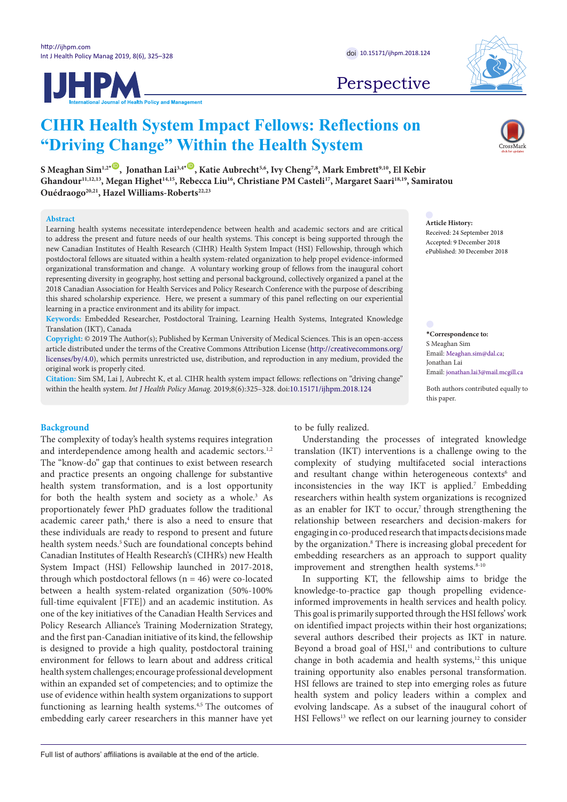**JHPM** 



## Perspective

# **CIHR Health System Impact Fellows: Reflections on "Driving Change" Within the Health System**

S Meaghan Sim<sup>1,2<sup>*\**</sup> **,Donathan Lai**<sup>3,4<sup>*\**</sup> **,De**, Katie Aubrecht<sup>5,6</sup>, Ivy Cheng<sup>7,8</sup>, Mark Embrett<sup>9,10</sup>, El Kebir</sup></sup> Ghandour<sup>11,12,13</sup>, Megan Highet<sup>14,15</sup>, Rebecca Liu<sup>16</sup>, Christiane PM Casteli<sup>17</sup>, Margaret Saari<sup>18,19</sup>, Samiratou Ouédraogo<sup>20,21</sup>, Hazel Williams-Roberts<sup>22,23</sup>

#### **Abstract**

Learning health systems necessitate interdependence between health and academic sectors and are critical to address the present and future needs of our health systems. This concept is being supported through the new Canadian Institutes of Health Research (CIHR) Health System Impact (HSI) Fellowship, through which postdoctoral fellows are situated within a health system-related organization to help propel evidence-informed organizational transformation and change. A voluntary working group of fellows from the inaugural cohort representing diversity in geography, host setting and personal background, collectively organized a panel at the 2018 Canadian Association for Health Services and Policy Research Conference with the purpose of describing this shared scholarship experience. Here, we present a summary of this panel reflecting on our experiential learning in a practice environment and its ability for impact.

**Keywords:** Embedded Researcher, Postdoctoral Training, Learning Health Systems, Integrated Knowledge Translation (IKT), Canada

**Copyright:** © 2019 The Author(s); Published by Kerman University of Medical Sciences. This is an open-access article distributed under the terms of the Creative Commons Attribution License ([http://creativecommons.org/](http://creativecommons.org/licenses/by/4.0) [licenses/by/4.0](http://creativecommons.org/licenses/by/4.0)), which permits unrestricted use, distribution, and reproduction in any medium, provided the original work is properly cited.

**Citation:** Sim SM, Lai J, Aubrecht K, et al. CIHR health system impact fellows: reflections on "driving change" within the health system. *Int J Health Policy Manag.* 2019;8(6):325–328. doi[:10.15171/ijhpm.2018.124](https://doi.org/10.15171/ijhpm.2018.124)

## **Background**

The complexity of today's health systems requires integration and interdependence among health and academic sectors.<sup>1,2</sup> The "know-do" gap that continues to exist between research and practice presents an ongoing challenge for substantive health system transformation, and is a lost opportunity for both the health system and society as a whole.<sup>3</sup> As proportionately fewer PhD graduates follow the traditional academic career path,<sup>4</sup> there is also a need to ensure that these individuals are ready to respond to present and future health system needs.<sup>5</sup> Such are foundational concepts behind Canadian Institutes of Health Research's (CIHR's) new Health System Impact (HSI) Fellowship launched in 2017-2018, through which postdoctoral fellows ( $n = 46$ ) were co-located between a health system-related organization (50%-100% full-time equivalent [FTE]) and an academic institution. As one of the key initiatives of the Canadian Health Services and Policy Research Alliance's Training Modernization Strategy, and the first pan-Canadian initiative of its kind, the fellowship is designed to provide a high quality, postdoctoral training environment for fellows to learn about and address critical health system challenges; encourage professional development within an expanded set of competencies; and to optimize the use of evidence within health system organizations to support functioning as learning health systems.<sup>4,5</sup> The outcomes of embedding early career researchers in this manner have yet to be fully realized.

**Article History:** Received: 24 September 2018 Accepted: 9 December 2018

ePublished: 30 December 2018

**\*Correspondence to:** S Meaghan Sim Email: Meaghan.sim@dal.ca; Jonathan Lai Email: jonathan.lai3@mail.mcgill.ca

Both authors contributed equally to this paper.

Understanding the processes of integrated knowledge translation (IKT) interventions is a challenge owing to the complexity of studying multifaceted social interactions and resultant change within heterogeneous contexts<sup>6</sup> and inconsistencies in the way IKT is applied.<sup>7</sup> Embedding researchers within health system organizations is recognized as an enabler for IKT to occur, $\tau$  through strengthening the relationship between researchers and decision-makers for engaging in co-produced research that impacts decisions made by the organization.<sup>8</sup> There is increasing global precedent for embedding researchers as an approach to support quality improvement and strengthen health systems.<sup>8-10</sup>

In supporting KT, the fellowship aims to bridge the knowledge-to-practice gap though propelling evidenceinformed improvements in health services and health policy. This goal is primarily supported through the HSI fellows' work on identified impact projects within their host organizations; several authors described their projects as IKT in nature. Beyond a broad goal of  $HSI$ ,<sup>11</sup> and contributions to culture change in both academia and health systems,<sup>12</sup> this unique training opportunity also enables personal transformation. HSI fellows are trained to step into emerging roles as future health system and policy leaders within a complex and evolving landscape. As a subset of the inaugural cohort of HSI Fellows<sup>13</sup> we reflect on our learning journey to consider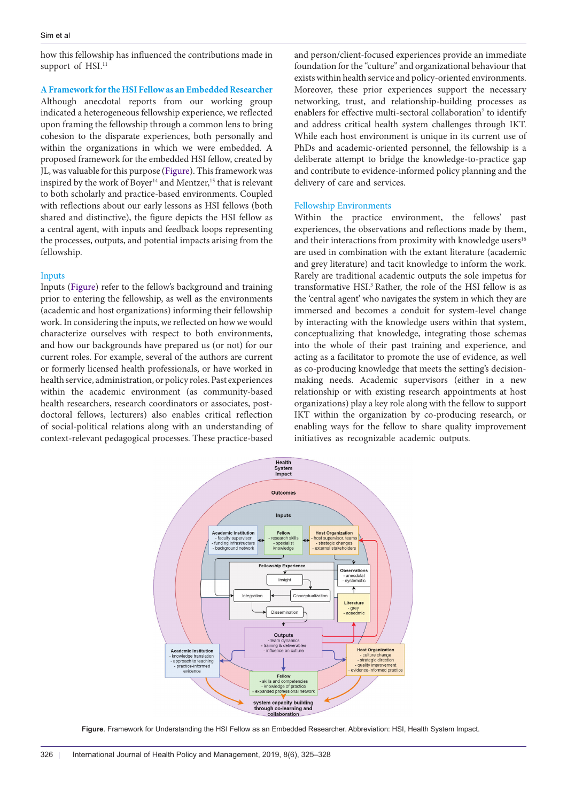how this fellowship has influenced the contributions made in support of HSI.<sup>11</sup>

## **A Framework for the HSI Fellow as an Embedded Researcher**

Although anecdotal reports from our working group indicated a heterogeneous fellowship experience, we reflected upon framing the fellowship through a common lens to bring cohesion to the disparate experiences, both personally and within the organizations in which we were embedded. A proposed framework for the embedded HSI fellow, created by JL, was valuable for this purpose [\(Figure](#page-1-0)). This framework was inspired by the work of Boyer<sup>14</sup> and Mentzer,<sup>15</sup> that is relevant to both scholarly and practice-based environments. Coupled with reflections about our early lessons as HSI fellows (both shared and distinctive), the figure depicts the HSI fellow as a central agent, with inputs and feedback loops representing the processes, outputs, and potential impacts arising from the fellowship.

## Inputs

Inputs [\(Figure](#page-1-0)) refer to the fellow's background and training prior to entering the fellowship, as well as the environments (academic and host organizations) informing their fellowship work. In considering the inputs, we reflected on how we would characterize ourselves with respect to both environments, and how our backgrounds have prepared us (or not) for our current roles. For example, several of the authors are current or formerly licensed health professionals, or have worked in health service, administration, or policy roles. Past experiences within the academic environment (as community-based health researchers, research coordinators or associates, postdoctoral fellows, lecturers) also enables critical reflection of social-political relations along with an understanding of context-relevant pedagogical processes. These practice-based and person/client-focused experiences provide an immediate foundation for the "culture" and organizational behaviour that exists within health service and policy-oriented environments. Moreover, these prior experiences support the necessary networking, trust, and relationship-building processes as enablers for effective multi-sectoral collaboration<sup>7</sup> to identify and address critical health system challenges through IKT. While each host environment is unique in its current use of PhDs and academic-oriented personnel, the fellowship is a deliberate attempt to bridge the knowledge-to-practice gap and contribute to evidence-informed policy planning and the delivery of care and services.

#### Fellowship Environments

Within the practice environment, the fellows' past experiences, the observations and reflections made by them, and their interactions from proximity with knowledge users $16$ are used in combination with the extant literature (academic and grey literature) and tacit knowledge to inform the work. Rarely are traditional academic outputs the sole impetus for transformative HSI.<sup>3</sup> Rather, the role of the HSI fellow is as the 'central agent' who navigates the system in which they are immersed and becomes a conduit for system-level change by interacting with the knowledge users within that system, conceptualizing that knowledge, integrating those schemas into the whole of their past training and experience, and acting as a facilitator to promote the use of evidence, as well as co-producing knowledge that meets the setting's decisionmaking needs. Academic supervisors (either in a new relationship or with existing research appointments at host organizations) play a key role along with the fellow to support IKT within the organization by co-producing research, or enabling ways for the fellow to share quality improvement initiatives as recognizable academic outputs.

<span id="page-1-0"></span>

**Figure**. Framework for Understanding the HSI Fellow as an Embedded Researcher. Abbreviation: HSI, Health System Impact.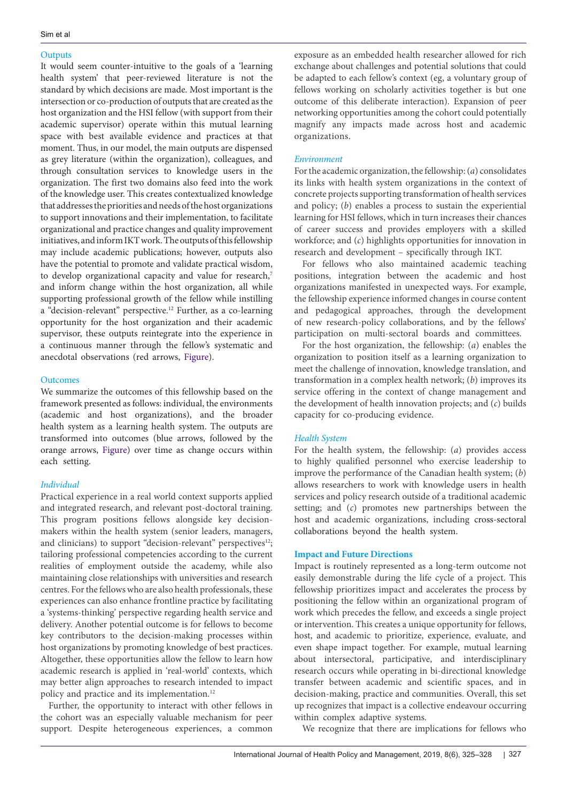#### **Outputs**

It would seem counter-intuitive to the goals of a 'learning health system' that peer-reviewed literature is not the standard by which decisions are made. Most important is the intersection or co-production of outputs that are created as the host organization and the HSI fellow (with support from their academic supervisor) operate within this mutual learning space with best available evidence and practices at that moment. Thus, in our model, the main outputs are dispensed as grey literature (within the organization), colleagues, and through consultation services to knowledge users in the organization. The first two domains also feed into the work of the knowledge user. This creates contextualized knowledge that addresses the priorities and needs of the host organizations to support innovations and their implementation, to facilitate organizational and practice changes and quality improvement initiatives, and inform IKT work. The outputs of this fellowship may include academic publications; however, outputs also have the potential to promote and validate practical wisdom, to develop organizational capacity and value for research,<sup>7</sup> and inform change within the host organization, all while supporting professional growth of the fellow while instilling a "decision-relevant" perspective.<sup>12</sup> Further, as a co-learning opportunity for the host organization and their academic supervisor, these outputs reintegrate into the experience in a continuous manner through the fellow's systematic and anecdotal observations (red arrows, [Figure](#page-1-0)).

## **Outcomes**

We summarize the outcomes of this fellowship based on the framework presented as follows: individual, the environments (academic and host organizations), and the broader health system as a learning health system. The outputs are transformed into outcomes (blue arrows, followed by the orange arrows, [Figure](#page-1-0)) over time as change occurs within each setting.

## *Individual*

Practical experience in a real world context supports applied and integrated research, and relevant post-doctoral training. This program positions fellows alongside key decisionmakers within the health system (senior leaders, managers, and clinicians) to support "decision-relevant" perspectives<sup>12</sup>; tailoring professional competencies according to the current realities of employment outside the academy, while also maintaining close relationships with universities and research centres. For the fellows who are also health professionals, these experiences can also enhance frontline practice by facilitating a 'systems-thinking' perspective regarding health service and delivery. Another potential outcome is for fellows to become key contributors to the decision-making processes within host organizations by promoting knowledge of best practices. Altogether, these opportunities allow the fellow to learn how academic research is applied in 'real-world' contexts, which may better align approaches to research intended to impact policy and practice and its implementation.<sup>12</sup>

Further, the opportunity to interact with other fellows in the cohort was an especially valuable mechanism for peer support. Despite heterogeneous experiences, a common

exposure as an embedded health researcher allowed for rich exchange about challenges and potential solutions that could be adapted to each fellow's context (eg, a voluntary group of fellows working on scholarly activities together is but one outcome of this deliberate interaction). Expansion of peer networking opportunities among the cohort could potentially magnify any impacts made across host and academic organizations.

## *Environment*

For the academic organization, the fellowship: (*a*) consolidates its links with health system organizations in the context of concrete projects supporting transformation of health services and policy; (*b*) enables a process to sustain the experiential learning for HSI fellows, which in turn increases their chances of career success and provides employers with a skilled workforce; and (*c*) highlights opportunities for innovation in research and development – specifically through IKT.

For fellows who also maintained academic teaching positions, integration between the academic and host organizations manifested in unexpected ways. For example, the fellowship experience informed changes in course content and pedagogical approaches, through the development of new research-policy collaborations, and by the fellows' participation on multi-sectoral boards and committees.

For the host organization, the fellowship: (*a*) enables the organization to position itself as a learning organization to meet the challenge of innovation, knowledge translation, and transformation in a complex health network; (*b*) improves its service offering in the context of change management and the development of health innovation projects; and (*c*) builds capacity for co-producing evidence.

#### *Health System*

For the health system, the fellowship: (*a*) provides access to highly qualified personnel who exercise leadership to improve the performance of the Canadian health system; (*b*) allows researchers to work with knowledge users in health services and policy research outside of a traditional academic setting; and (*c*) promotes new partnerships between the host and academic organizations, including cross-sectoral collaborations beyond the health system.

## **Impact and Future Directions**

Impact is routinely represented as a long-term outcome not easily demonstrable during the life cycle of a project. This fellowship prioritizes impact and accelerates the process by positioning the fellow within an organizational program of work which precedes the fellow, and exceeds a single project or intervention. This creates a unique opportunity for fellows, host, and academic to prioritize, experience, evaluate, and even shape impact together. For example, mutual learning about intersectoral, participative, and interdisciplinary research occurs while operating in bi-directional knowledge transfer between academic and scientific spaces, and in decision-making, practice and communities. Overall, this set up recognizes that impact is a collective endeavour occurring within complex adaptive systems.

We recognize that there are implications for fellows who